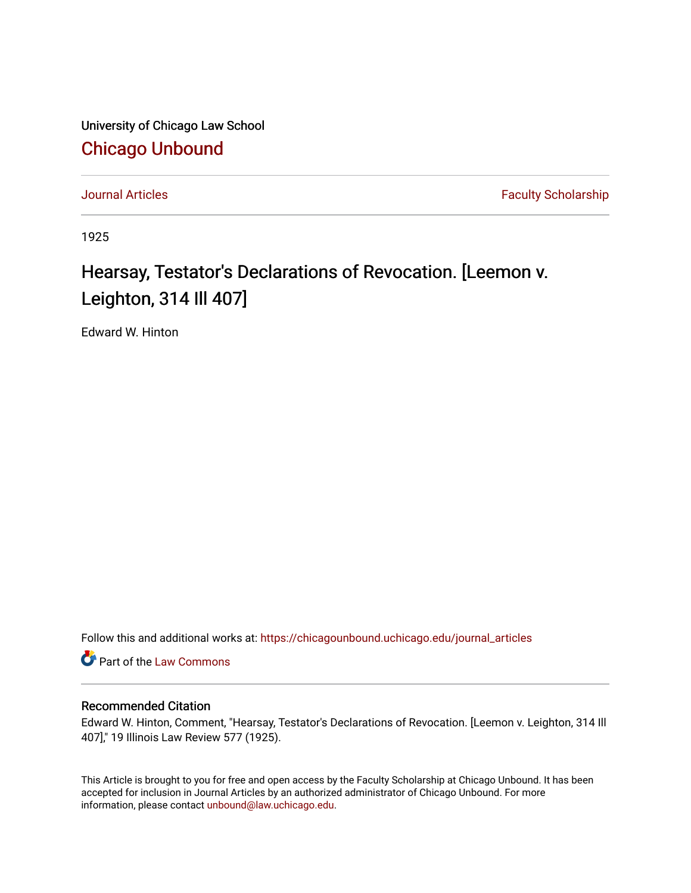University of Chicago Law School [Chicago Unbound](https://chicagounbound.uchicago.edu/)

[Journal Articles](https://chicagounbound.uchicago.edu/journal_articles) **Faculty Scholarship Journal Articles** 

1925

## Hearsay, Testator's Declarations of Revocation. [Leemon v. Leighton, 314 Ill 407]

Edward W. Hinton

Follow this and additional works at: [https://chicagounbound.uchicago.edu/journal\\_articles](https://chicagounbound.uchicago.edu/journal_articles?utm_source=chicagounbound.uchicago.edu%2Fjournal_articles%2F9148&utm_medium=PDF&utm_campaign=PDFCoverPages) 

Part of the [Law Commons](http://network.bepress.com/hgg/discipline/578?utm_source=chicagounbound.uchicago.edu%2Fjournal_articles%2F9148&utm_medium=PDF&utm_campaign=PDFCoverPages)

## Recommended Citation

Edward W. Hinton, Comment, "Hearsay, Testator's Declarations of Revocation. [Leemon v. Leighton, 314 Ill 407]," 19 Illinois Law Review 577 (1925).

This Article is brought to you for free and open access by the Faculty Scholarship at Chicago Unbound. It has been accepted for inclusion in Journal Articles by an authorized administrator of Chicago Unbound. For more information, please contact [unbound@law.uchicago.edu](mailto:unbound@law.uchicago.edu).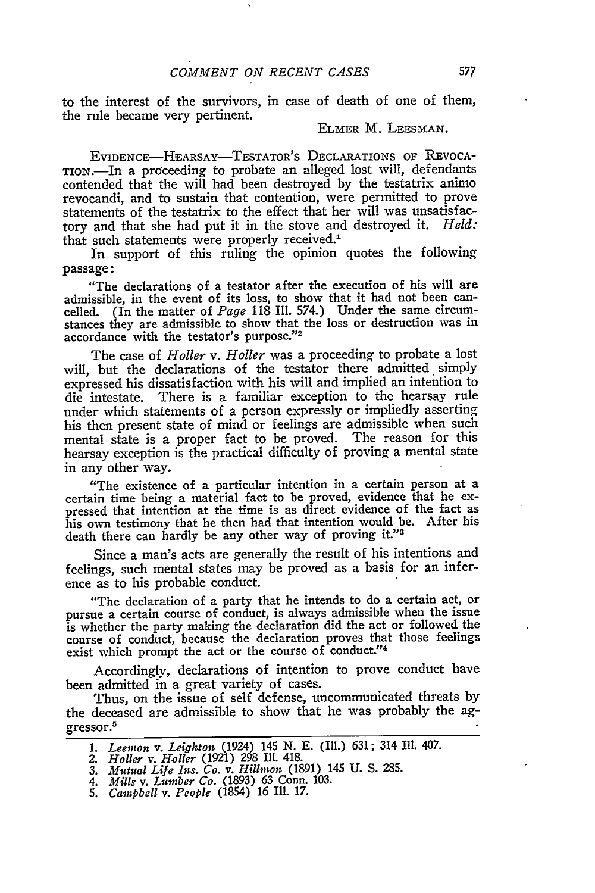to the interest of the survivors, in case of death of one of them, the rule became very pertinent.

## ELMER M. LEESMAN.

EVIDENCE-HEARSAY-TESTATOR'S DECLARATIONS OF REVOCA-TION.7-In a proceeding to probate an alleged lost will, defendants contended that the will had been destroyed by the testatrix animo revocandi, and to sustain that contention, were permitted to prove statements of the testatrix to the effect that her will was unsatisfactory and that she had put it in the stove and destroyed it. *Held:* that such statements were properly received.<sup>1</sup>

In support of this ruling the opinion quotes the following passage:

"The declarations of a testator after the execution of his will are admissible, in the event of its loss, to show that it had not been cancelled. (In the matter of *Page* 118 Ill. 574.) Under the same circumstances they are admissible to show that the loss or destruction was in stances they are admissible to show that<br>accordance with the testator's purpose."<sup>2</sup>

The case of *Holler v. Holler* was a proceeding to probate a lost will, but the declarations of the testator there admitted simply expressed his dissatisfaction with his will and implied an intention to die intestate. There is a familiar exception to the hearsay rule under which statements of a person expressly or impliedly asserting his then present state of mind or feelings are admissible when such mental state is a proper fact to be proved. The reason for this hearsay exception is the practical difficulty of proving a mental state in any other way.

"The existence of a particular intention in a certain person at a certain time being a material fact to be proved, evidence that he expressed that intention at the time is as direct evidence of the fact as his own testimony that he then had that intention would be. After his death there can hardly be any other way of proving it."

Since a man's acts are generally the result of his intentions and feelings, such mental states may be proved as a basis for an inference as to his probable conduct.

"The declaration of a party that he intends to do a certain act, or pursue a certain course of conduct, is always admissible when the issue is whether the party making the declaration did the act or followed the course of conduct, because the declaration proves that those feelings exist which prompt the act or the course of conduct."<sup>4</sup>

Accordingly, declarations of intention to prove conduct have been admitted in a great variety of cases.

Thus, on the issue of self defense, uncommunicated threats by the deceased are admissible to show that he was probably the aggressor.<sup>5</sup>

- *1. Leemon v. Leighton* (1924) 145 **N. E.** (Ill.) 631; 314 Ill. 407. *2. Holler v. Holler* (1921) 298 **I1.** 418. *3. Mutual Life Ins. Co. v. Hillmon* (1891) 145 U. S. 285.
- 
- 
- *4. Mills v. Lumber Co.* (1893) 63 Conn. 103.
- *5. Campbell v. People* (1854) 16 Ill. 17.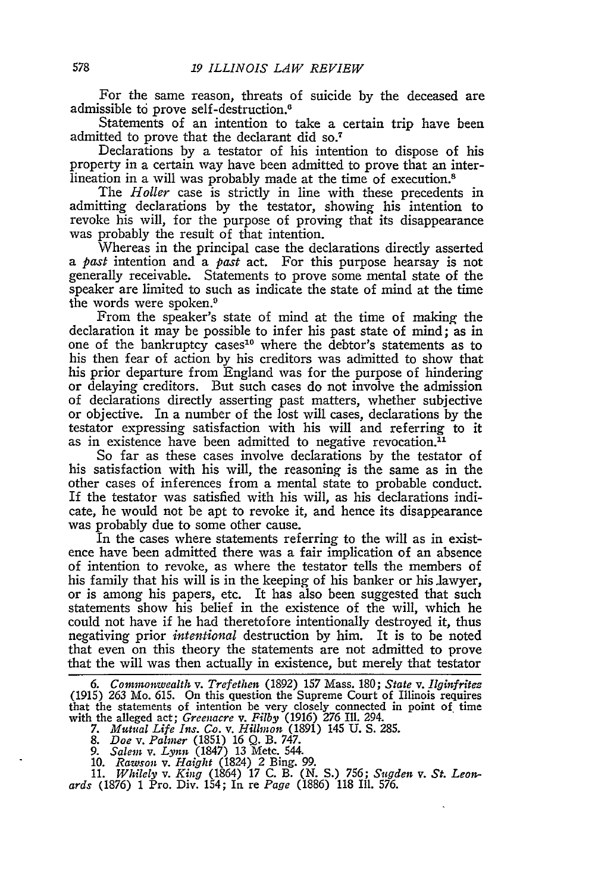For the same reason, threats of suicide by the deceased are admissible to prove self-destruction. <sup>6</sup>

Statements of an intention to take a certain trip have been admitted to prove that the declarant did so.7

Declarations by a testator of his intention to dispose of his property in a certain way have been admitted to prove that an interlineation in a will was probably made at the time of execution.<sup>8</sup>

The *Holler* case is strictly in line with these precedents in admitting declarations by the testator, showing his intention to revoke his will, for the purpose of proving that its disappearance was probably the result of that intention.

Whereas in the principal case the declarations directly asserted *a past* intention and a *past* act. For this purpose hearsay is not generally receivable. Statements to prove some mental state of the speaker are limited to such as indicate the state of mind at the time the words were spoken.<sup>9</sup>

From the speaker's state of mind at the time of making the declaration it may be possible to infer his past state of mind; as in one of the bankruptcy cases'0 where the debtor's statements as to his then fear of action by his creditors was admitted to show that his prior departure from England was for the purpose of hindering or delaying creditors. But such cases do not involve the admission of declarations directly asserting past matters, whether subjective or objective. In a number of the lost will cases, declarations by the testator expressing satisfaction with his will and referring to it as in existence have been admitted to negative revocation. $<sup>11</sup>$ </sup>

So far as these cases involve declarations by the testator of his satisfaction with his will, the reasoning is the same as in the other cases of inferences from a mental state to probable conduct. If the testator was satisfied with his will, as his declarations indicate, he would not be apt to revoke it, and hence its disappearance was probably due to some other cause.

In the cases where statements referring to the will as in existence have been admitted there was a fair implication of an absence of intention to revoke, as where the testator tells the members of his family that his will is in the keeping of his banker or his lawyer, or is among his papers, etc. It has also been suggested that such statements show his belief in the existence of the will, which he could not have if he had theretofore intentionally destroyed it, thus negativing prior *intentional* destruction by him. It is to be noted that even on this theory the statements are not admitted to prove that the will was then actually in existence, but merely that testator

10. *Rawson v. Haight* (1824) 2 Bing. 99.

11. *Whilely v. King* (1864) 17 C. B. (N. S.) 756; *Sugden v. St. Leon.- ards* (1876) 1 Pro. Div. 154; In re *Page* (1886) 118 Ill. 576.

<sup>6.</sup> Commonwealth v. Trefethen (1892) 157 Mass. 180; State v. Ilginfrites (1915) 263 Mo. 615. On this question the Supreme Court of Illinois requires with the alleged act; *Greenacre v. Filby* (1916) 276 III. 294.<br>7. Mutual Life Ins. Co. v. Hillmon (1891) 145 U. S. 285.<br>8. Doe v. Palmer (1851) 16 Q. B. 747.<br>9. Salem v. Lynn (1847) 13 Metc. 544.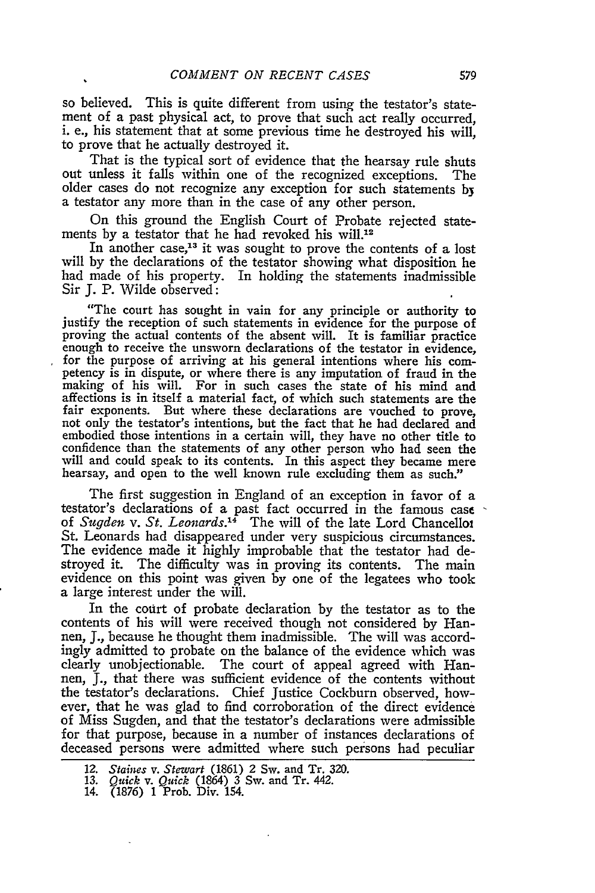so believed. This is quite different from using the testator's statement of a past physical act, to prove that such act really occurred, i. e., his statement that at some previous time he destroyed his will, to prove that he actually destroyed it.

That is the typical sort of evidence that the hearsay rule shuts out unless it falls within one of the recognized exceptions. The older cases do not recognize any exception for such statements **bj** a testator any more than in the case of any other person.

On this ground the English Court of Probate rejected statements by a testator that he had revoked his will.<sup>12</sup>

In another case,<sup>13</sup> it was sought to prove the contents of a lost will by the declarations of the testator showing what disposition he had made of his property. In holding the statements inadmissible Sir J. P. Wilde observed:

"The court has sought in vain for any principle or authority to justify the reception of such statements in evidence for the purpose of proving the actual contents of the absent will. It is familiar practice enough to receive the unsworn declarations of the testator in evidence, for the purpose of arriving at his general intentions where his competency is in dispute, or where there is any imputation of fraud in the making of his will. For in such cases the state of his mind and affections is in itself a material fact, of which such statements are the fair exponents. But where these declarations are vouched to prove, not only the testator's intentions, but the fact that he had declared and embodied those intentions in a certain will, they have no other title to confidence than the statements of any other person who had seen the will and could speak to its contents. In this aspect they became mere hearsay, and open to the well known rule excluding them as such."

The first suggestion in England of an exception in favor of a testator's declarations of a past fact occurred in the famous case of *Sugden v. St. Leonards.14* The will of the late Lord Chancelloi St. Leonards had disappeared under very suspicious circumstances. The evidence made it highly improbable that the testator had destroyed it. The difficulty was in proving its contents. The main evidence on this point was given by one of the legatees who took a large interest under the will.

In the court of probate declaration by the testator as to the contents of his will were received though not considered by Hannen, J., because he thought them inadmissible. The will was accordingly admitted to probate on the balance of the evidence which was clearly unobjectionable. The court of appeal agreed with Hannen, J., that there was sufficient evidence of the contents without the testator's declarations. Chief Justice Cockburn observed, however, that he was glad to find corroboration of the direct evidence of Miss Sugden, and that the testator's declarations were admissible for that purpose, because in a number of instances declarations of deceased persons were admitted where such persons had peculiar

14. (1876) 1 Prob. Div. 154.

<sup>12.</sup> *Staines v. Stewart* (1861) 2 Sw. and Tr. 320.

<sup>13.</sup> *Quick v. Quick* (1864) 3 Sw. and Tr. 442.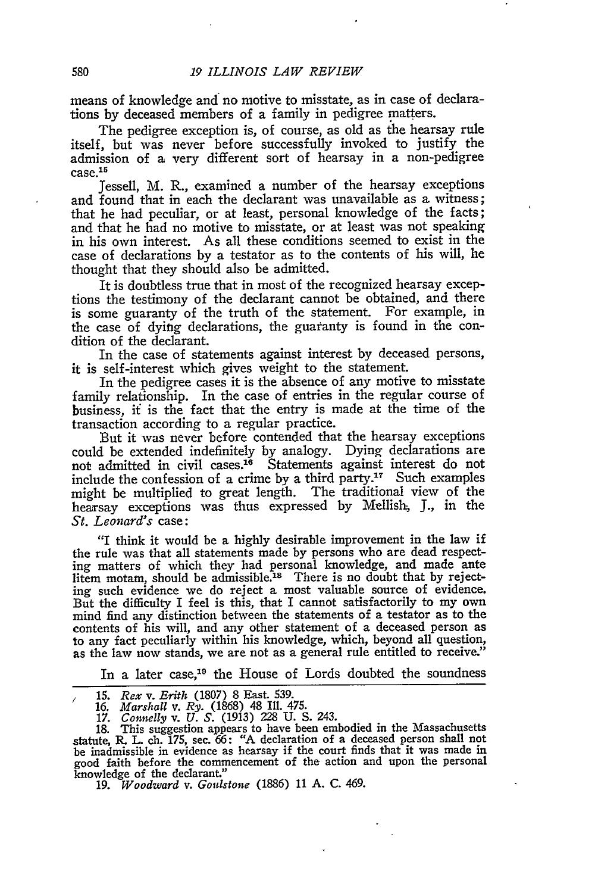means of knowledge and no motive to misstate, as in case of declarations by deceased members of a family in pedigree matters.

The pedigree exception is, of course, as old as the hearsay rule itself, but was never before successfully invoked to justify the admission of a very different sort of hearsay in a non-pedigree auniiss<br>case.<sup>15</sup>

Jessell, M. R., examined a number of the hearsay exceptions and found that in each the declarant was unavailable as a witness; that he had peculiar, or at least, personal knowledge of the facts; and that he had no motive to misstate, or at least was not speaking in his own interest. As all these conditions seemed to exist in the case of declarations by a testator as to the contents of his will, he thought that they should also be admitted.

It is doubtless true that in most of the recognized hearsay exceptions the testimony of the declarant cannot be obtained, and there is some guaranty of the truth of the statement. For example, in the case of dying declarations, the guaranty is found in the condition of the declarant.

In the case of statements against interest by deceased persons, it is self-interest which gives weight to the statement.

In the pedigree cases it is the absence of any motive to misstate family relationship. In the case of entries in the regular course of business, if is the fact that the entry is made at the time of the transaction according to a regular practice.

But it was never before contended that the hearsay exceptions could be extended indefinitely by analogy. Dying declarations are not admitted in civil cases.<sup>16</sup> Statements against interest do not include the confession of a crime by a third party.<sup>17</sup> Such examples might be multiplied to great length. The traditional view of the hearsay exceptions was thus expressed by Mellish. **J.,** in the *St. Leonard's* case:

"I think it would be a highly desirable improvement in the law if the rule was that all statements made by persons who are dead respecting matters of which they had personal knowledge, and made ante<br>litem motam, should be admissible.<sup>18</sup> There is no doubt that by rejecting such evidence we do reject a most valuable source of evidence. But the difficulty I feel is this, that I cannot satisfactorily to my own mind find any distinction between the statements of a testator as to the contents of his will, and any other statement of a deceased person as to any fact peculiarly within his knowledge, which, beyond all question, as the law now stands, we are not as a general rule entitled to receive."

In a later case,<sup>19</sup> the House of Lords doubted the soundness

- 
- 16. *Marshall* v. *Ry.* (1868) 48 Ill. 475. *17. Connely v. U. S.* (1913) 228 U. S. 243.

18. This suggestion appears to have been embodied in the Massachusetts statute, *R.* L ch. 175, sec. 66: "A declaration of a deceased person shall not be inadmissible in evidence as hearsay if the court finds that it was made in good faith before the commencement of the action and upon the personal knowledge of the declarant."

**19.** *Woodward v. Gonistone* (1886) 11 **A. C.** 469.

*<sup>/</sup>* 15. *Rex v. Erith* (1807) 8 East. 539.